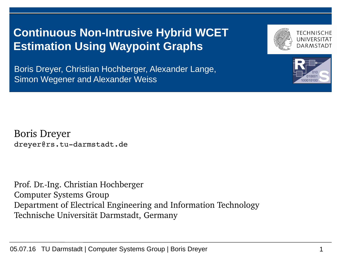## **Continuous Non-Intrusive Hybrid WCET Estimation Using Waypoint Graphs**

Boris Dreyer, Christian Hochberger, Alexander Lange, Simon Wegener and Alexander Weiss

Boris Dreyer dreyer@rs.tu-darmstadt.de

Prof. Dr.-Ing. Christian Hochberger Computer Systems Group Department of Electrical Engineering and Information Technology Technische Universität Darmstadt, Germany





TFCHNISCHF

DARMSTADT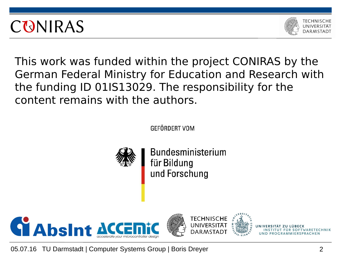



This work was funded within the project CONIRAS by the German Federal Ministry for Education and Research with the funding ID 01IS13029. The responsibility for the content remains with the authors.

**GFFÖRDFRT VOM** 



**Bundesministerium** für Bildung und Forschung





05.07.16 TU Darmstadt | Computer Systems Group | Boris Dreyer 2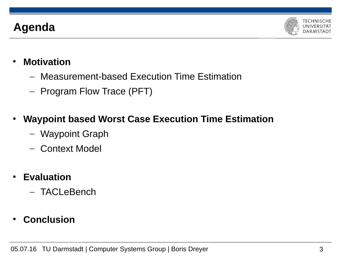## **Agenda**



- **Motivation**
	- Measurement-based Execution Time Estimation
	- Program Flow Trace (PFT)
- **Waypoint based Worst Case Execution Time Estimation**
	- Waypoint Graph
	- Context Model
- **Evaluation**
	- TACLeBench
- **Conclusion**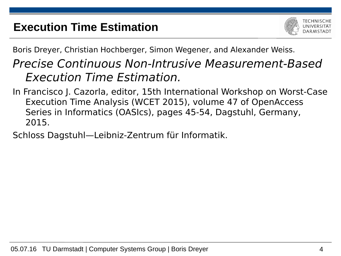## **Execution Time Estimation**



Boris Dreyer, Christian Hochberger, Simon Wegener, and Alexander Weiss.

## Precise Continuous Non-Intrusive Measurement-Based Execution Time Estimation.

- In Francisco J. Cazorla, editor, 15th International Workshop on Worst-Case Execution Time Analysis (WCET 2015), volume 47 of OpenAccess Series in Informatics (OASIcs), pages 45-54, Dagstuhl, Germany, 2015.
- Schloss Dagstuhl—Leibniz-Zentrum für Informatik.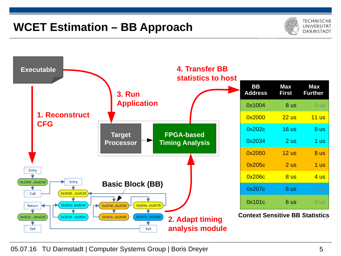## **WCET Estimation – BB Approach**



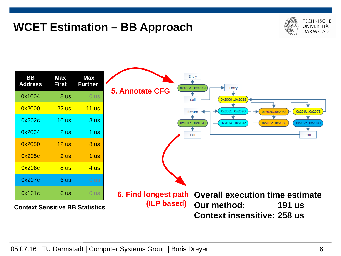## **WCET Estimation – BB Approach**



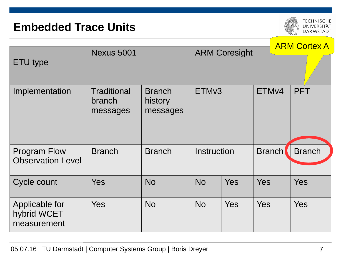#### **Embedded Trace Units**

**TECHNISCHE** UNIVERSITÄT **DARMSTADT** 

|                                                 |                                          |                                      |                      |            | <b>ARM Cortex A</b> |               |
|-------------------------------------------------|------------------------------------------|--------------------------------------|----------------------|------------|---------------------|---------------|
| ETU type                                        | <b>Nexus 5001</b>                        |                                      | <b>ARM Coresight</b> |            |                     |               |
| Implementation                                  | <b>Traditional</b><br>branch<br>messages | <b>Branch</b><br>history<br>messages | ETM <sub>v3</sub>    |            | ETM <sub>v4</sub>   | <b>PFT</b>    |
| <b>Program Flow</b><br><b>Observation Level</b> | <b>Branch</b>                            | <b>Branch</b>                        | <b>Instruction</b>   |            | <b>Branch</b>       | <b>Branch</b> |
| Cycle count                                     | <b>Yes</b>                               | <b>No</b>                            | <b>No</b>            | <b>Yes</b> | <b>Yes</b>          | <b>Yes</b>    |
| Applicable for<br>hybrid WCET<br>measurement    | <b>Yes</b>                               | <b>No</b>                            | <b>No</b>            | <b>Yes</b> | <b>Yes</b>          | <b>Yes</b>    |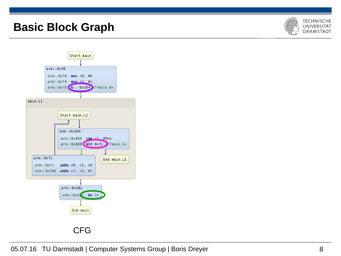#### **Basic Block Graph**



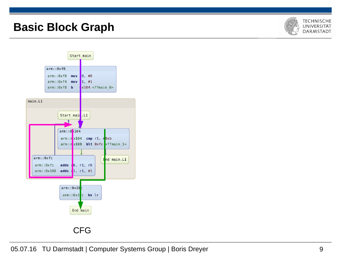#### **Basic Block Graph**



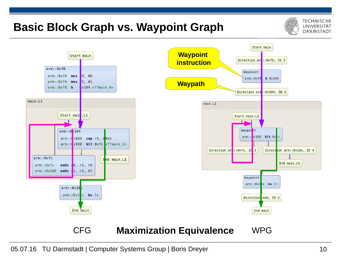#### **Basic Block Graph vs. Waypoint Graph**



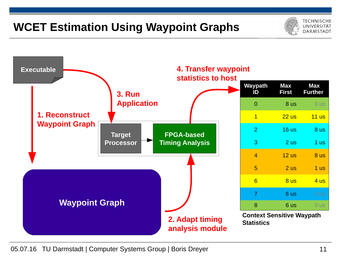## **WCET Estimation Using Waypoint Graphs**



TFCHNISCHF UNIVERSITÄT **DARMSTADT**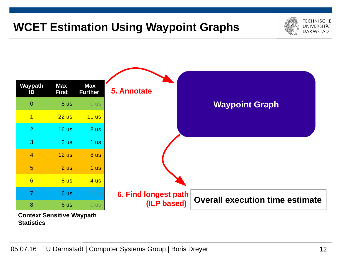## **WCET Estimation Using Waypoint Graphs**





**Context Sensitive Waypath Statistics**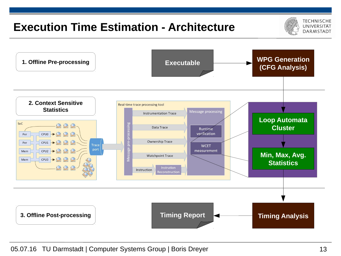## **Execution Time Estimation - Architecture**



**WPG Generation 1. Offline Pre-processing Executable (CFG Analysis) 2. Context Sensitive** Real-time trace processing tool **Statistics** Message processing **Instrumentation Trace Loop Automata** SoC 良良良 **Cluster** Data Trace Runtime CPUO → Q Q Q verification Per ge pre-proc Ownership Trace CPU1  $\rightarrow$ Per Trace **WCET** port CPU2→只只只 measurement Mem **Min, Max, Avg. Watchpoint Trace** CPU3 → Q Q Q Mem **Statistics** 肉肉肉 Instrution Instruction **Reconstruction 3. Offline Post-processing Timing Report Timing Analysis**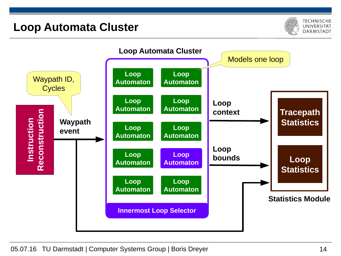#### **Loop Automata Cluster**



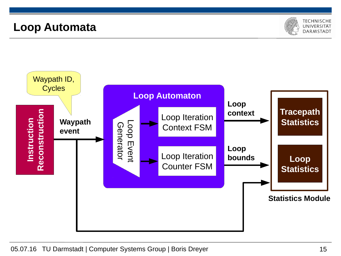#### **Loop Automata**



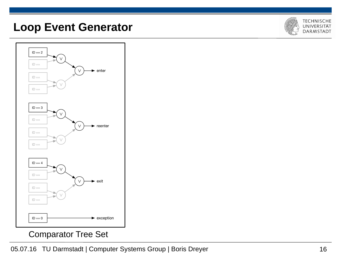#### **Loop Event Generator**





Comparator Tree Set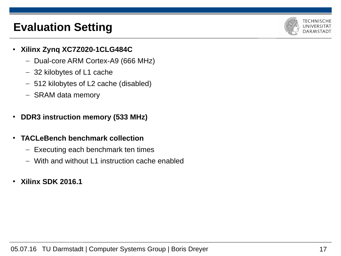## **Evaluation Setting**



- **Xilinx Zynq XC7Z020-1CLG484C**
	- Dual-core ARM Cortex-A9 (666 MHz)
	- 32 kilobytes of L1 cache
	- 512 kilobytes of L2 cache (disabled)
	- SRAM data memory
- **DDR3 instruction memory (533 MHz)**
- **TACLeBench benchmark collection**
	- Executing each benchmark ten times
	- With and without L1 instruction cache enabled
- **Xilinx SDK 2016.1**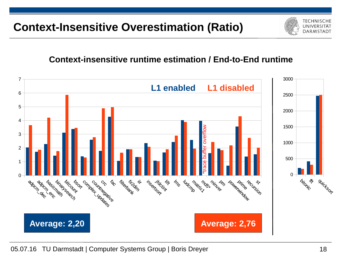### **Context-Insensitive Overestimation (Ratio)**

#### **Context-insensitive runtime estimation / End-to-End runtime**



**TECHNISCHE** UNIVERSITÄT **DARMSTAD1**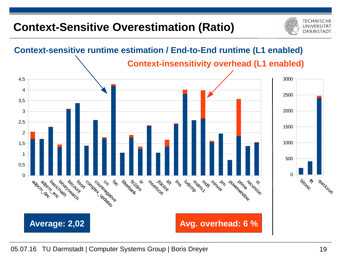## **Context-Sensitive Overestimation (Ratio)**



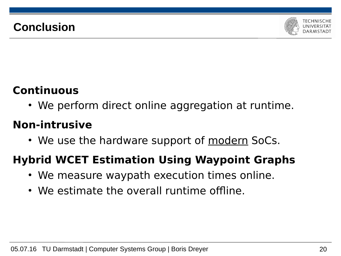## **Conclusion**



## **Continuous**

• We perform direct online aggregation at runtime.

### **Non-intrusive**

• We use the hardware support of modern SoCs.

## **Hybrid WCET Estimation Using Waypoint Graphs**

- We measure waypath execution times online.
- We estimate the overall runtime offline.